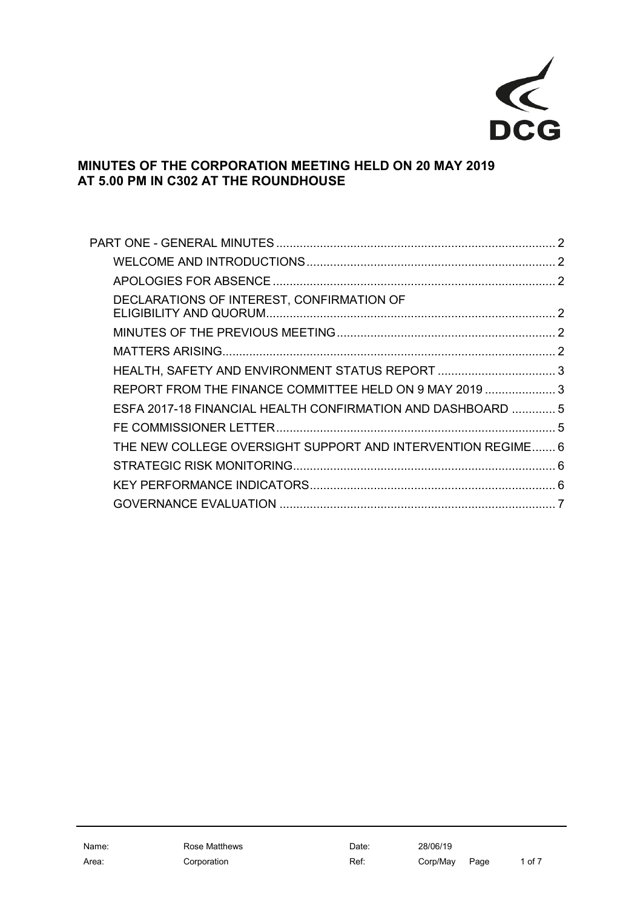

# **MINUTES OF THE CORPORATION MEETING HELD ON 20 MAY 2019 AT 5.00 PM IN C302 AT THE ROUNDHOUSE**

| DECLARATIONS OF INTEREST, CONFIRMATION OF                   |  |
|-------------------------------------------------------------|--|
|                                                             |  |
|                                                             |  |
| HEALTH, SAFETY AND ENVIRONMENT STATUS REPORT 3              |  |
| REPORT FROM THE FINANCE COMMITTEE HELD ON 9 MAY 2019  3     |  |
| ESFA 2017-18 FINANCIAL HEALTH CONFIRMATION AND DASHBOARD  5 |  |
|                                                             |  |
| THE NEW COLLEGE OVERSIGHT SUPPORT AND INTERVENTION REGIME 6 |  |
|                                                             |  |
|                                                             |  |
|                                                             |  |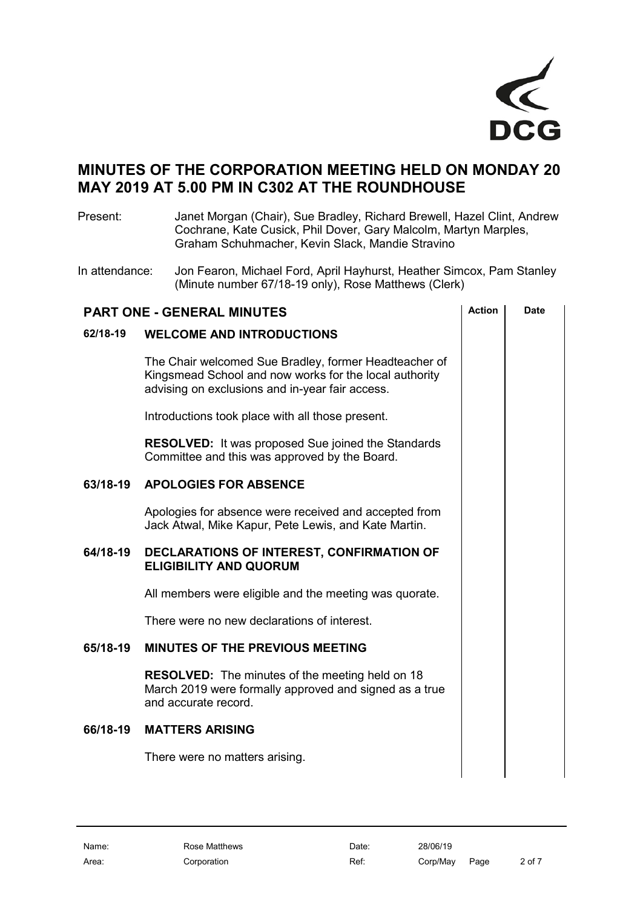

# **MINUTES OF THE CORPORATION MEETING HELD ON MONDAY 20 MAY 2019 AT 5.00 PM IN C302 AT THE ROUNDHOUSE**

Present: Janet Morgan (Chair), Sue Bradley, Richard Brewell, Hazel Clint, Andrew Cochrane, Kate Cusick, Phil Dover, Gary Malcolm, Martyn Marples, Graham Schuhmacher, Kevin Slack, Mandie Stravino

In attendance: Jon Fearon, Michael Ford, April Hayhurst, Heather Simcox, Pam Stanley (Minute number 67/18-19 only), Rose Matthews (Clerk)

<span id="page-1-5"></span><span id="page-1-4"></span><span id="page-1-3"></span><span id="page-1-2"></span><span id="page-1-1"></span><span id="page-1-0"></span>

| <b>Action</b><br>Date<br><b>PART ONE - GENERAL MINUTES</b> |                                                                                                                                                                    |  |  |  |
|------------------------------------------------------------|--------------------------------------------------------------------------------------------------------------------------------------------------------------------|--|--|--|
| 62/18-19                                                   | <b>WELCOME AND INTRODUCTIONS</b>                                                                                                                                   |  |  |  |
|                                                            | The Chair welcomed Sue Bradley, former Headteacher of<br>Kingsmead School and now works for the local authority<br>advising on exclusions and in-year fair access. |  |  |  |
|                                                            | Introductions took place with all those present.                                                                                                                   |  |  |  |
|                                                            | <b>RESOLVED:</b> It was proposed Sue joined the Standards<br>Committee and this was approved by the Board.                                                         |  |  |  |
| 63/18-19                                                   | <b>APOLOGIES FOR ABSENCE</b>                                                                                                                                       |  |  |  |
|                                                            | Apologies for absence were received and accepted from<br>Jack Atwal, Mike Kapur, Pete Lewis, and Kate Martin.                                                      |  |  |  |
| 64/18-19                                                   | DECLARATIONS OF INTEREST, CONFIRMATION OF<br><b>ELIGIBILITY AND QUORUM</b>                                                                                         |  |  |  |
|                                                            | All members were eligible and the meeting was quorate.                                                                                                             |  |  |  |
|                                                            | There were no new declarations of interest.                                                                                                                        |  |  |  |
| 65/18-19                                                   | <b>MINUTES OF THE PREVIOUS MEETING</b>                                                                                                                             |  |  |  |
|                                                            | <b>RESOLVED:</b> The minutes of the meeting held on 18<br>March 2019 were formally approved and signed as a true<br>and accurate record.                           |  |  |  |
| 66/18-19                                                   | <b>MATTERS ARISING</b>                                                                                                                                             |  |  |  |
|                                                            | There were no matters arising.                                                                                                                                     |  |  |  |
|                                                            |                                                                                                                                                                    |  |  |  |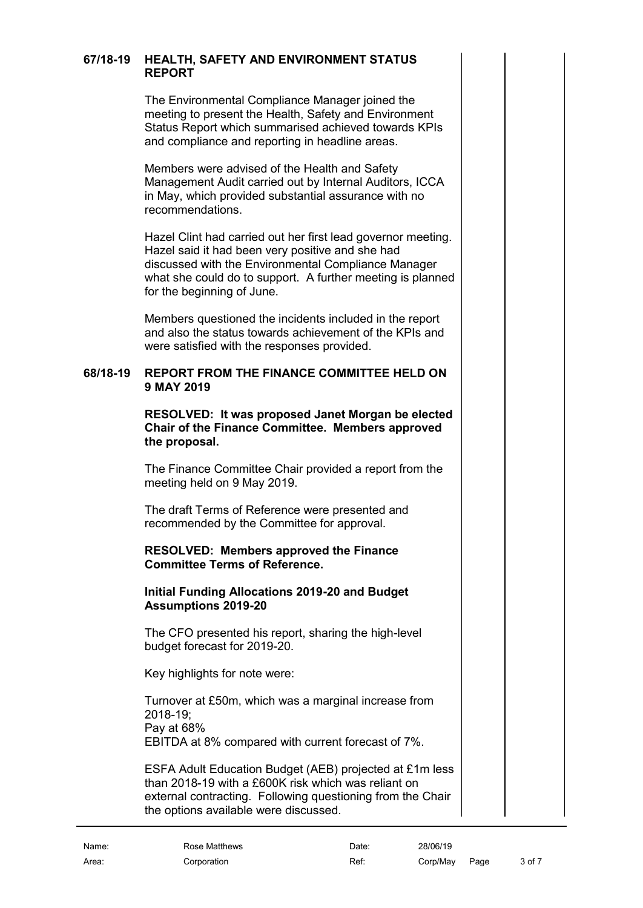### **67/18-19 HEALTH, SAFETY AND ENVIRONMENT STATUS REPORT**

<span id="page-2-0"></span>The Environmental Compliance Manager joined the meeting to present the Health, Safety and Environment Status Report which summarised achieved towards KPIs and compliance and reporting in headline areas.

Members were advised of the Health and Safety Management Audit carried out by Internal Auditors, ICCA in May, which provided substantial assurance with no recommendations.

Hazel Clint had carried out her first lead governor meeting. Hazel said it had been very positive and she had discussed with the Environmental Compliance Manager what she could do to support. A further meeting is planned for the beginning of June.

Members questioned the incidents included in the report and also the status towards achievement of the KPIs and were satisfied with the responses provided.

#### **68/18-19 REPORT FROM THE FINANCE COMMITTEE HELD ON 9 MAY 2019**

<span id="page-2-1"></span>**RESOLVED: It was proposed Janet Morgan be elected Chair of the Finance Committee. Members approved the proposal.**

The Finance Committee Chair provided a report from the meeting held on 9 May 2019.

The draft Terms of Reference were presented and recommended by the Committee for approval.

#### **RESOLVED: Members approved the Finance Committee Terms of Reference.**

#### **Initial Funding Allocations 2019-20 and Budget Assumptions 2019-20**

The CFO presented his report, sharing the high-level budget forecast for 2019-20.

Key highlights for note were:

Turnover at £50m, which was a marginal increase from 2018-19; Pay at 68% EBITDA at 8% compared with current forecast of 7%.

ESFA Adult Education Budget (AEB) projected at £1m less than 2018-19 with a £600K risk which was reliant on external contracting. Following questioning from the Chair the options available were discussed.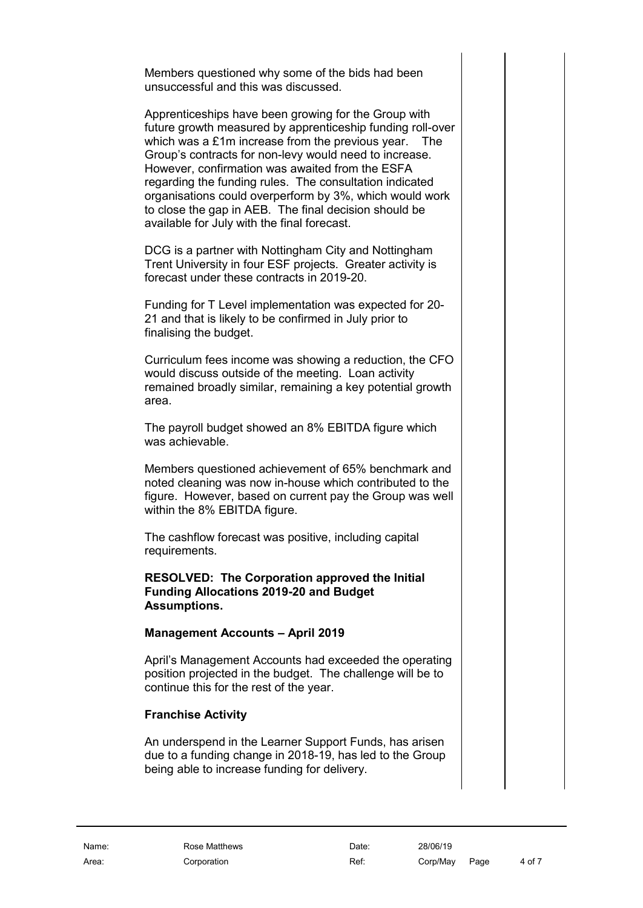Members questioned why some of the bids had been unsuccessful and this was discussed.

Apprenticeships have been growing for the Group with future growth measured by apprenticeship funding roll-over which was a £1m increase from the previous year. The Group's contracts for non-levy would need to increase. However, confirmation was awaited from the ESFA regarding the funding rules. The consultation indicated organisations could overperform by 3%, which would work to close the gap in AEB. The final decision should be available for July with the final forecast.

DCG is a partner with Nottingham City and Nottingham Trent University in four ESF projects. Greater activity is forecast under these contracts in 2019-20.

Funding for T Level implementation was expected for 20- 21 and that is likely to be confirmed in July prior to finalising the budget.

Curriculum fees income was showing a reduction, the CFO would discuss outside of the meeting. Loan activity remained broadly similar, remaining a key potential growth area.

The payroll budget showed an 8% EBITDA figure which was achievable.

Members questioned achievement of 65% benchmark and noted cleaning was now in-house which contributed to the figure. However, based on current pay the Group was well within the 8% EBITDA figure.

The cashflow forecast was positive, including capital requirements.

#### **RESOLVED: The Corporation approved the Initial Funding Allocations 2019-20 and Budget Assumptions.**

#### **Management Accounts – April 2019**

April's Management Accounts had exceeded the operating position projected in the budget. The challenge will be to continue this for the rest of the year.

#### **Franchise Activity**

An underspend in the Learner Support Funds, has arisen due to a funding change in 2018-19, has led to the Group being able to increase funding for delivery.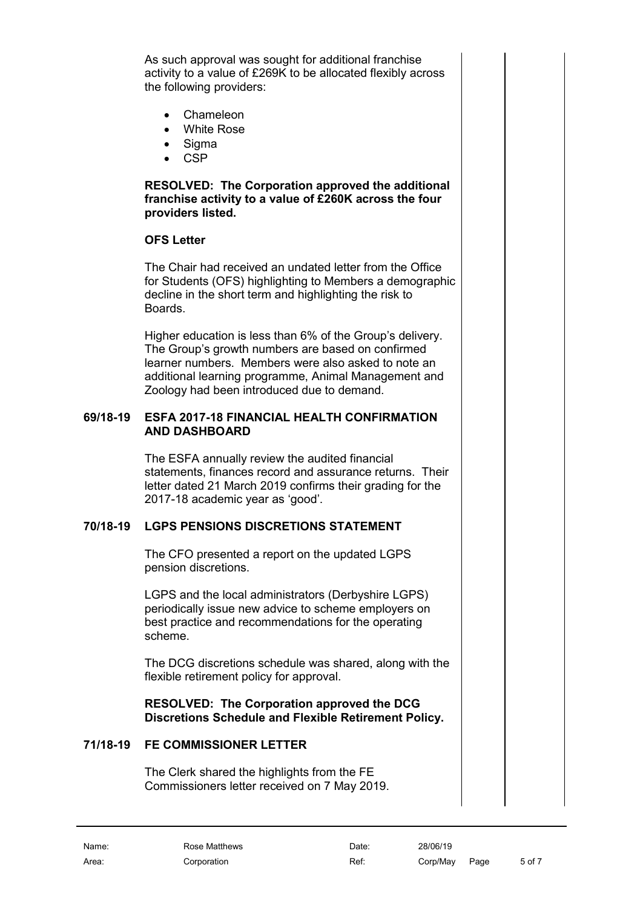As such approval was sought for additional franchise activity to a value of £269K to be allocated flexibly across the following providers:

- Chameleon
- White Rose
- Sigma
- CSP

**RESOLVED: The Corporation approved the additional franchise activity to a value of £260K across the four providers listed.**

### **OFS Letter**

The Chair had received an undated letter from the Office for Students (OFS) highlighting to Members a demographic decline in the short term and highlighting the risk to Boards.

Higher education is less than 6% of the Group's delivery. The Group's growth numbers are based on confirmed learner numbers. Members were also asked to note an additional learning programme, Animal Management and Zoology had been introduced due to demand.

#### **69/18-19 ESFA 2017-18 FINANCIAL HEALTH CONFIRMATION AND DASHBOARD**

<span id="page-4-0"></span>The ESFA annually review the audited financial statements, finances record and assurance returns. Their letter dated 21 March 2019 confirms their grading for the 2017-18 academic year as 'good'.

### **70/18-19 LGPS PENSIONS DISCRETIONS STATEMENT**

The CFO presented a report on the updated LGPS pension discretions.

LGPS and the local administrators (Derbyshire LGPS) periodically issue new advice to scheme employers on best practice and recommendations for the operating scheme.

The DCG discretions schedule was shared, along with the flexible retirement policy for approval.

### **RESOLVED: The Corporation approved the DCG Discretions Schedule and Flexible Retirement Policy.**

# **71/18-19 FE COMMISSIONER LETTER**

<span id="page-4-1"></span>The Clerk shared the highlights from the FE Commissioners letter received on 7 May 2019.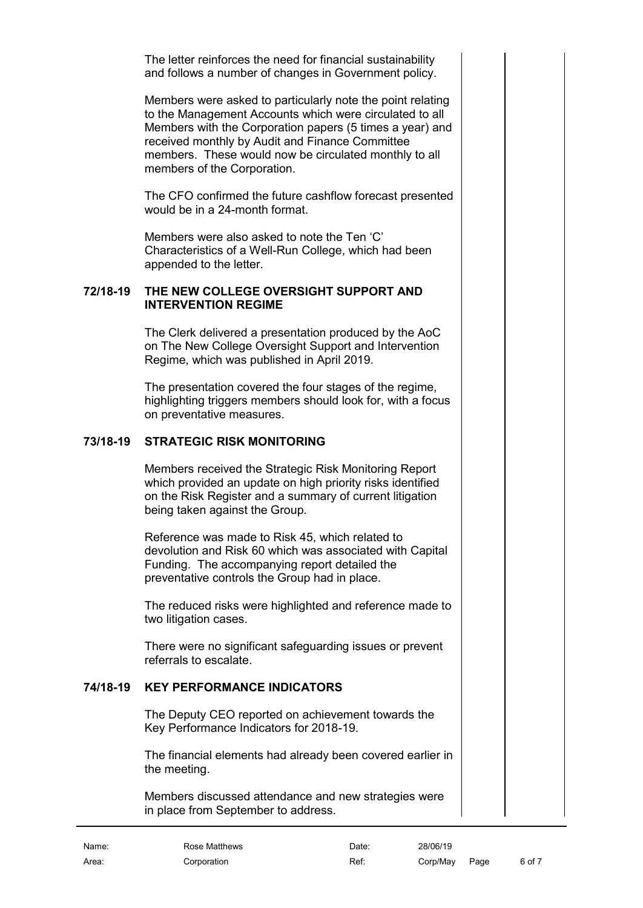The letter reinforces the need for financial sustainability and follows a number of changes in Government policy.

Members were asked to particularly note the point relating to the Management Accounts which were circulated to all Members with the Corporation papers (5 times a year) and received monthly by Audit and Finance Committee members. These would now be circulated monthly to all members of the Corporation.

The CFO confirmed the future cashflow forecast presented would be in a 24-month format.

Members were also asked to note the Ten 'C' Characteristics of a Well-Run College, which had been appended to the letter.

#### **72/18-19 THE NEW COLLEGE OVERSIGHT SUPPORT AND INTERVENTION REGIME**

<span id="page-5-0"></span>The Clerk delivered a presentation produced by the AoC on The New College Oversight Support and Intervention Regime, which was published in April 2019.

The presentation covered the four stages of the regime, highlighting triggers members should look for, with a focus on preventative measures.

### **73/18-19 STRATEGIC RISK MONITORING**

<span id="page-5-1"></span>Members received the Strategic Risk Monitoring Report which provided an update on high priority risks identified on the Risk Register and a summary of current litigation being taken against the Group.

Reference was made to Risk 45, which related to devolution and Risk 60 which was associated with Capital Funding. The accompanying report detailed the preventative controls the Group had in place.

The reduced risks were highlighted and reference made to two litigation cases.

There were no significant safeguarding issues or prevent referrals to escalate.

### **74/18-19 KEY PERFORMANCE INDICATORS**

<span id="page-5-2"></span>The Deputy CEO reported on achievement towards the Key Performance Indicators for 2018-19.

The financial elements had already been covered earlier in the meeting.

Members discussed attendance and new strategies were in place from September to address.

Name: Rose Matthews **Date:** 28/06/19 Area: Corporation Corporation Corporation Ref: Corp/May Page 6 of 7